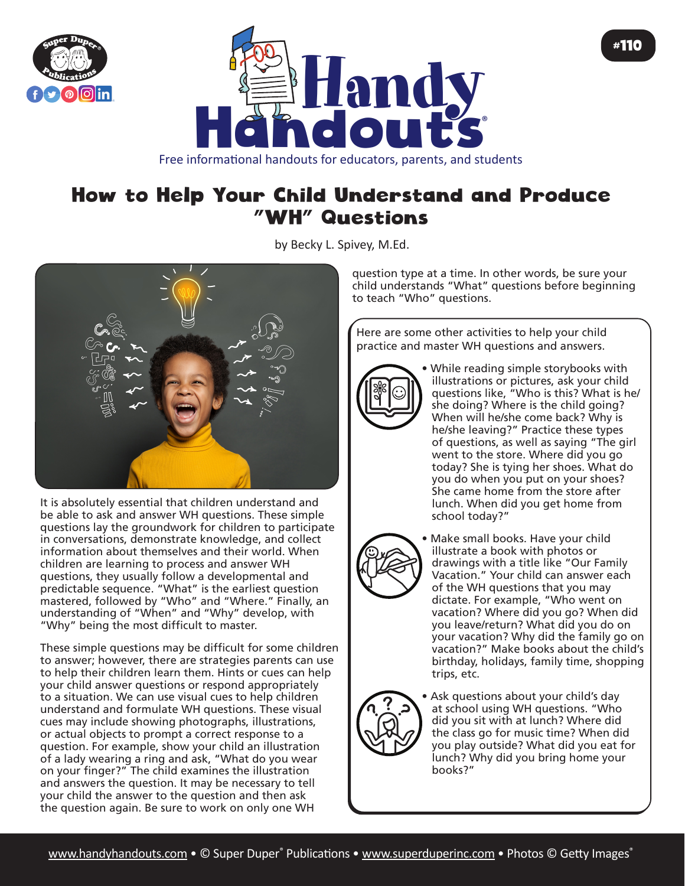



## How to Help Your Child Understand and Produce "WH" Questions

by Becky L. Spivey, M.Ed.



It is absolutely essential that children understand and be able to ask and answer WH questions. These simple questions lay the groundwork for children to participate in conversations, demonstrate knowledge, and collect information about themselves and their world. When children are learning to process and answer WH questions, they usually follow a developmental and predictable sequence. "What" is the earliest question mastered, followed by "Who" and "Where." Finally, an understanding of "When" and "Why" develop, with "Why" being the most difficult to master.

These simple questions may be difficult for some children to answer; however, there are strategies parents can use to help their children learn them. Hints or cues can help your child answer questions or respond appropriately to a situation. We can use visual cues to help children understand and formulate WH questions. These visual cues may include showing photographs, illustrations, or actual objects to prompt a correct response to a question. For example, show your child an illustration of a lady wearing a ring and ask, "What do you wear on your finger?" The child examines the illustration and answers the question. It may be necessary to tell your child the answer to the question and then ask the question again. Be sure to work on only one WH

question type at a time. In other words, be sure your child understands "What" questions before beginning to teach "Who" questions.

Here are some other activities to help your child practice and master WH questions and answers.



• While reading simple storybooks with illustrations or pictures, ask your child questions like, "Who is this? What is he/ she doing? Where is the child going? When will he/she come back? Why is he/she leaving?" Practice these types of questions, as well as saying "The girl went to the store. Where did you go today? She is tying her shoes. What do you do when you put on your shoes? She came home from the store after lunch. When did you get home from school today?"



• Make small books. Have your child illustrate a book with photos or drawings with a title like "Our Family Vacation." Your child can answer each of the WH questions that you may dictate. For example, "Who went on vacation? Where did you go? When did you leave/return? What did you do on your vacation? Why did the family go on vacation?" Make books about the child's birthday, holidays, family time, shopping trips, etc.



• Ask questions about your child's day at school using WH questions. "Who did you sit with at lunch? Where did the class go for music time? When did you play outside? What did you eat for lunch? Why did you bring home your books?"